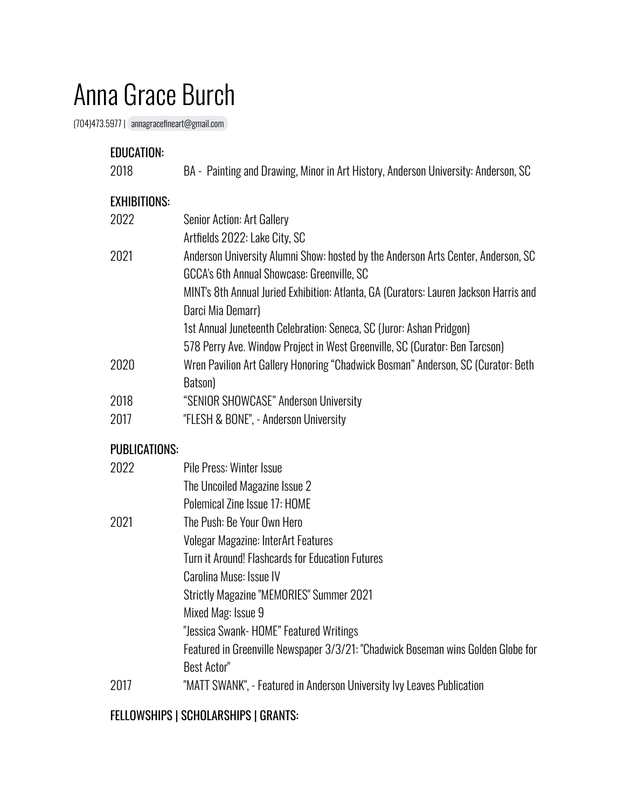## Anna Grace Burch

(704)473.5977 | [annagracefineart@gmail.com](mailto:annagracefineart@gmail.com)

| <b>EDUCATION:</b><br>2018 | BA - Painting and Drawing, Minor in Art History, Anderson University: Anderson, SC                                                                                         |
|---------------------------|----------------------------------------------------------------------------------------------------------------------------------------------------------------------------|
| <b>EXHIBITIONS:</b>       |                                                                                                                                                                            |
| 2022                      | Senior Action: Art Gallery                                                                                                                                                 |
| 2021                      | Artfields 2022: Lake City, SC<br>Anderson University Alumni Show: hosted by the Anderson Arts Center, Anderson, SC<br>GCCA's 6th Annual Showcase: Greenville, SC           |
|                           | MINT's 8th Annual Juried Exhibition: Atlanta, GA (Curators: Lauren Jackson Harris and<br>Darci Mia Demarr)                                                                 |
|                           | 1st Annual Juneteenth Celebration: Seneca, SC (Juror: Ashan Pridgon)                                                                                                       |
| 2020                      | 578 Perry Ave. Window Project in West Greenville, SC (Curator: Ben Tarcson)<br>Wren Pavilion Art Gallery Honoring "Chadwick Bosman" Anderson, SC (Curator: Beth<br>Batson) |
| 2018                      | "SENIOR SHOWCASE" Anderson University                                                                                                                                      |
| 2017                      | "FLESH & BONE", - Anderson University                                                                                                                                      |
| <b>PUBLICATIONS:</b>      |                                                                                                                                                                            |
| 2022                      | Pile Press: Winter Issue                                                                                                                                                   |
|                           | The Uncoiled Magazine Issue 2                                                                                                                                              |
|                           |                                                                                                                                                                            |

|      | Polemical Zine Issue 17: HOME                                                    |
|------|----------------------------------------------------------------------------------|
| 2021 | The Push: Be Your Own Hero                                                       |
|      | Volegar Magazine: InterArt Features                                              |
|      | Turn it Around! Flashcards for Education Futures                                 |
|      | Carolina Muse: Issue IV                                                          |
|      | <b>Strictly Magazine "MEMORIES" Summer 2021</b>                                  |
|      | Mixed Mag: Issue 9                                                               |
|      | "Jessica Swank- HOME" Featured Writings                                          |
|      | Featured in Greenville Newspaper 3/3/21: "Chadwick Boseman wins Golden Globe for |
|      | Best Actor"                                                                      |
| 2017 | "MATT SWANK", - Featured in Anderson University Ivy Leaves Publication           |

## FELLOWSHIPS | SCHOLARSHIPS | GRANTS: